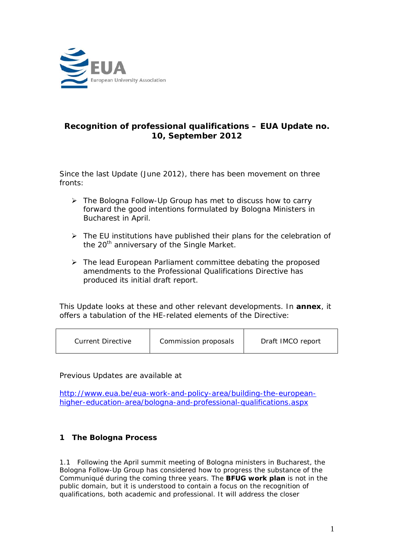

# **Recognition of professional qualifications – EUA Update no. 10, September 2012**

Since the last Update (June 2012), there has been movement on three fronts:

- The Bologna Follow-Up Group has met to discuss how to carry forward the good intentions formulated by Bologna Ministers in Bucharest in April.
- $\triangleright$  The EU institutions have published their plans for the celebration of the 20<sup>th</sup> anniversary of the Single Market.
- $\triangleright$  The lead European Parliament committee debating the proposed amendments to the Professional Qualifications Directive has produced its initial draft report.

This Update looks at these and other relevant developments. In **annex**, it offers a tabulation of the HE-related elements of the Directive:

| Commission proposals<br>Draft IMCO report<br>Current Directive |  |
|----------------------------------------------------------------|--|
|----------------------------------------------------------------|--|

Previous Updates are available at

[http://www.eua.be/eua-work-and-policy-area/building-the-european](http://www.eua.be/eua-work-and-policy-area/building-the-european-higher-education-area/bologna-and-professional-qualifications.aspx)[higher-education-area/bologna-and-professional-qualifications.aspx](http://www.eua.be/eua-work-and-policy-area/building-the-european-higher-education-area/bologna-and-professional-qualifications.aspx)

# **1 The Bologna Process**

1.1 Following the April summit meeting of Bologna ministers in Bucharest, the Bologna Follow-Up Group has considered how to progress the substance of the Communiqué during the coming three years. The **BFUG work plan** is not in the public domain, but it is understood to contain a focus on the recognition of qualifications, both academic and professional. It will address the closer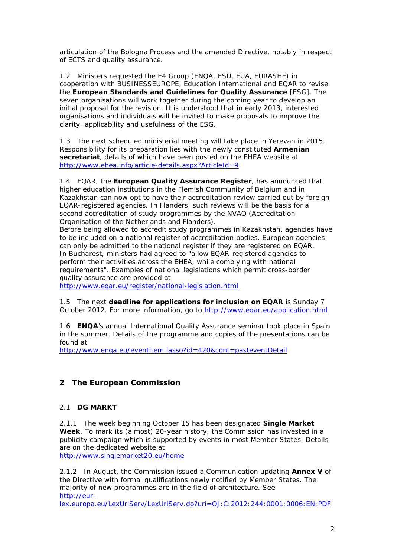articulation of the Bologna Process and the amended Directive, notably in respect of ECTS and quality assurance.

1.2 Ministers requested the E4 Group (ENQA, ESU, EUA, EURASHE) in cooperation with BUSINESSEUROPE, Education International and EQAR to revise the **European Standards and Guidelines for Quality Assurance** [ESG]. The seven organisations will work together during the coming year to develop an initial proposal for the revision. It is understood that in early 2013, interested organisations and individuals will be invited to make proposals to improve the clarity, applicability and usefulness of the ESG.

1.3 The next scheduled ministerial meeting will take place in Yerevan in 2015. Responsibility for its preparation lies with the newly constituted **Armenian secretariat**, details of which have been posted on the EHEA website at <http://www.ehea.info/article-details.aspx?ArticleId=9>

1.4 EQAR, the **European Quality Assurance Register**, has announced that higher education institutions in the Flemish Community of Belgium and in Kazakhstan can now opt to have their accreditation review carried out by foreign EQAR-registered agencies. In Flanders, such reviews will be the basis for a second accreditation of study programmes by the NVAO (Accreditation Organisation of the Netherlands and Flanders).

Before being allowed to accredit study programmes in Kazakhstan, agencies have to be included on a national register of accreditation bodies. European agencies can only be admitted to the national register if they are registered on EQAR. In Bucharest, ministers had agreed to "allow EQAR-registered agencies to perform their activities across the EHEA, while complying with national requirements". Examples of national legislations which permit cross-border quality assurance are provided at

[http://www.eqar.eu/register/national-legislation.html](https://mail.eua.be/owa/redir.aspx?C=aa5f8262c62a47a3a5bd3f8cf3bb8030&URL=http%3a%2f%2fwww.eqar.eu%2fregister%2fnational-legislation.html)

1.5 The next **deadline for applications for inclusion on EQAR** is Sunday 7 October 2012. For more information, go to http://www.egar.eu/application.html

1.6 **ENQA**'s annual International Quality Assurance seminar took place in Spain in the summer. Details of the programme and copies of the presentations can be found at

<http://www.enqa.eu/eventitem.lasso?id=420&cont=pasteventDetail>

## **2 The European Commission**

#### 2.1 **DG MARKT**

2.1.1 The week beginning October 15 has been designated **Single Market Week**. To mark its (almost) 20-year history, the Commission has invested in a publicity campaign which is supported by events in most Member States. Details are on the dedicated website at

<http://www.singlemarket20.eu/home>

2.1.2 In August, the Commission issued a Communication updating **Annex V** of the Directive with formal qualifications newly notified by Member States. The majority of new programmes are in the field of architecture. See [http://eur-](http://eur-lex.europa.eu/LexUriServ/LexUriServ.do?uri=OJ:C:2012:244:0001:0006:EN:PDF)

[lex.europa.eu/LexUriServ/LexUriServ.do?uri=OJ:C:2012:244:0001:0006:EN:PDF](http://eur-lex.europa.eu/LexUriServ/LexUriServ.do?uri=OJ:C:2012:244:0001:0006:EN:PDF)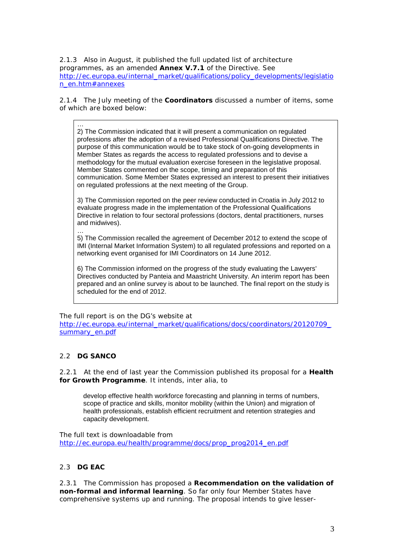2.1.3 Also in August, it published the full updated list of architecture programmes, as an amended **Annex V.7.1** of the Directive. See [http://ec.europa.eu/internal\\_market/qualifications/policy\\_developments/legislatio](http://ec.europa.eu/internal_market/qualifications/policy_developments/legislation_en.htm#annexes) [n\\_en.htm#annexes](http://ec.europa.eu/internal_market/qualifications/policy_developments/legislation_en.htm#annexes)

2.1.4 The July meeting of the **Coordinators** discussed a number of items, some of which are boxed below:

… 2) The Commission indicated that it will present a communication on regulated professions after the adoption of a revised Professional Qualifications Directive. The purpose of this communication would be to take stock of on-going developments in Member States as regards the access to regulated professions and to devise a methodology for the mutual evaluation exercise foreseen in the legislative proposal. Member States commented on the scope, timing and preparation of this communication. Some Member States expressed an interest to present their initiatives on regulated professions at the next meeting of the Group.

3) The Commission reported on the peer review conducted in Croatia in July 2012 to evaluate progress made in the implementation of the Professional Qualifications Directive in relation to four sectoral professions (doctors, dental practitioners, nurses and midwives).

… 5) The Commission recalled the agreement of December 2012 to extend the scope of IMI (Internal Market Information System) to all regulated professions and reported on a networking event organised for IMI Coordinators on 14 June 2012.

6) The Commission informed on the progress of the study evaluating the Lawyers' Directives conducted by Panteia and Maastricht University. An interim report has been prepared and an online survey is about to be launched. The final report on the study is scheduled for the end of 2012.

The full report is on the DG's website at [http://ec.europa.eu/internal\\_market/qualifications/docs/coordinators/20120709\\_](http://ec.europa.eu/internal_market/qualifications/docs/coordinators/20120709_summary_en.pdf) summary\_en.pdf

## 2.2 **DG SANCO**

2.2.1 At the end of last year the Commission published its proposal for a **Health for Growth Programme**. It intends, inter alia, to

develop effective health workforce forecasting and planning in terms of numbers, scope of practice and skills, monitor mobility (within the Union) and migration of health professionals, establish efficient recruitment and retention strategies and capacity development.

The full text is downloadable from [http://ec.europa.eu/health/programme/docs/prop\\_prog2014\\_en.pdf](http://ec.europa.eu/health/programme/docs/prop_prog2014_en.pdf)

## 2.3 **DG EAC**

2.3.1 The Commission has proposed a **Recommendation on the validation of non-formal and informal learning**. So far only four Member States have comprehensive systems up and running. The proposal intends to give lesser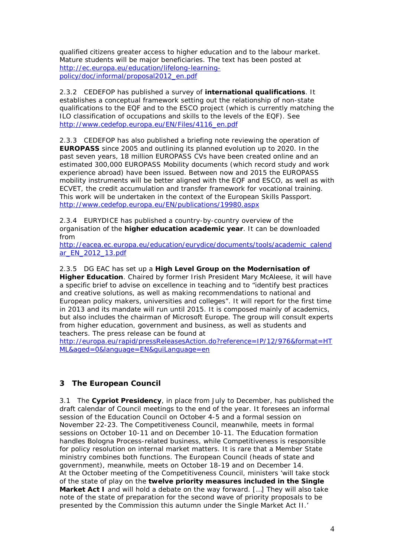qualified citizens greater access to higher education and to the labour market. Mature students will be major beneficiaries. The text has been posted at [http://ec.europa.eu/education/lifelong-learning](http://ec.europa.eu/education/lifelong-learning-policy/doc/informal/proposal2012_en.pdf)[policy/doc/informal/proposal2012\\_en.pdf](http://ec.europa.eu/education/lifelong-learning-policy/doc/informal/proposal2012_en.pdf)

2.3.2 CEDEFOP has published a survey of **international qualifications**. It establishes a conceptual framework setting out the relationship of non-state qualifications to the EQF and to the ESCO project (which is currently matching the ILO classification of occupations and skills to the levels of the EQF). See [http://www.cedefop.europa.eu/EN/Files/4116\\_en.pdf](http://www.cedefop.europa.eu/EN/Files/4116_en.pdf)

2.3.3 CEDEFOP has also published a briefing note reviewing the operation of **EUROPASS** since 2005 and outlining its planned evolution up to 2020. In the past seven years, 18 million EUROPASS CVs have been created online and an estimated 300,000 EUROPASS Mobility documents (which record study and work experience abroad) have been issued. Between now and 2015 the EUROPASS mobility instruments will be better aligned with the EQF and ESCO, as well as with ECVET, the credit accumulation and transfer framework for vocational training. This work will be undertaken in the context of the European Skills Passport. <http://www.cedefop.europa.eu/EN/publications/19980.aspx>

2.3.4 EURYDICE has published a country-by-country overview of the organisation of the **higher education academic year**. It can be downloaded from

[http://eacea.ec.europa.eu/education/eurydice/documents/tools/academic\\_calend](http://eacea.ec.europa.eu/education/eurydice/documents/tools/academic_calendar_EN_2012_13.pdf) [ar\\_EN\\_2012\\_13.pdf](http://eacea.ec.europa.eu/education/eurydice/documents/tools/academic_calendar_EN_2012_13.pdf)

2.3.5 DG EAC has set up a **High Level Group on the Modernisation of** 

**Higher Education**. Chaired by former Irish President Mary McAleese, it will have a specific brief to advise on excellence in teaching and to "identify best practices and creative solutions, as well as making recommendations to national and European policy makers, universities and colleges". It will report for the first time in 2013 and its mandate will run until 2015. It is composed mainly of academics, but also includes the chairman of Microsoft Europe. The group will consult experts from higher education, government and business, as well as students and teachers. The press release can be found at

[http://europa.eu/rapid/pressReleasesAction.do?reference=IP/12/976&format=HT](http://europa.eu/rapid/pressReleasesAction.do?reference=IP/12/976&format=HTML&aged=0&language=EN&guiLanguage=en) [ML&aged=0&language=EN&guiLanguage=en](http://europa.eu/rapid/pressReleasesAction.do?reference=IP/12/976&format=HTML&aged=0&language=EN&guiLanguage=en)

## **3 The European Council**

3.1 The **Cypriot Presidency**, in place from July to December, has published the draft calendar of Council meetings to the end of the year. It foresees an informal session of the Education Council on October 4-5 and a formal session on November 22-23. The Competitiveness Council, meanwhile, meets in formal sessions on October 10-11 and on December 10-11. The Education formation handles Bologna Process-related business, while Competitiveness is responsible for policy resolution on internal market matters. It is rare that a Member State ministry combines both functions. The European Council (heads of state and government), meanwhile, meets on October 18-19 and on December 14. At the October meeting of the Competitiveness Council, ministers 'will take stock of the state of play on the **twelve priority measures included in the Single Market Act I** and will hold a debate on the way forward. […] They will also take note of the state of preparation for the second wave of priority proposals to be presented by the Commission this autumn under the Single Market Act II.'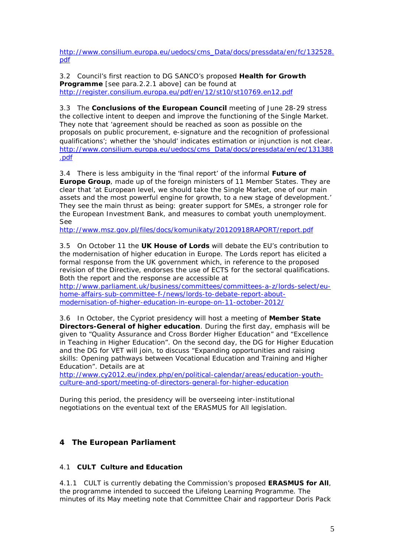[http://www.consilium.europa.eu/uedocs/cms\\_Data/docs/pressdata/en/fc/132528.](http://www.consilium.europa.eu/uedocs/cms_Data/docs/pressdata/en/fc/132528.pdf) [pdf](http://www.consilium.europa.eu/uedocs/cms_Data/docs/pressdata/en/fc/132528.pdf)

3.2 Council's first reaction to DG SANCO's proposed **Health for Growth Programme** [see para.2.2.1 above] can be found at <http://register.consilium.europa.eu/pdf/en/12/st10/st10769.en12.pdf>

3.3 The **Conclusions of the European Council** meeting of June 28-29 stress the collective intent to deepen and improve the functioning of the Single Market. They note that 'agreement should be reached as soon as possible on the proposals on public procurement, e-signature and the recognition of professional qualifications'; whether the 'should' indicates estimation or injunction is not clear. [http://www.consilium.europa.eu/uedocs/cms\\_Data/docs/pressdata/en/ec/131388](http://www.consilium.europa.eu/uedocs/cms_Data/docs/pressdata/en/ec/131388.pdf) [.pdf](http://www.consilium.europa.eu/uedocs/cms_Data/docs/pressdata/en/ec/131388.pdf)

3.4 There is less ambiguity in the 'final report' of the informal **Future of Europe Group**, made up of the foreign ministers of 11 Member States. They are clear that 'at European level, we should take the Single Market, one of our main assets and the most powerful engine for growth, to a new stage of development.' They see the main thrust as being: greater support for SMEs, a stronger role for the European Investment Bank, and measures to combat youth unemployment. See

<http://www.msz.gov.pl/files/docs/komunikaty/20120918RAPORT/report.pdf>

3.5 On October 11 the **UK House of Lords** will debate the EU's contribution to the modernisation of higher education in Europe. The Lords report has elicited a formal response from the UK government which, in reference to the proposed revision of the Directive, endorses the use of ECTS for the sectoral qualifications. Both the report and the response are accessible at

[http://www.parliament.uk/business/committees/committees-a-z/lords-select/eu](https://mail.eua.be/owa/redir.aspx?C=a43b5ddfe7c54a73810e21557b06f056&URL=http%3a%2f%2fwww.parliament.uk%2fbusiness%2fcommittees%2fcommittees-a-z%2flords-select%2feu-home-affairs-sub-committee-f-%2fnews%2flords-to-debate-report-about-modernisation-of-higher-education-in-europe-on-11-october-2012%2f)[home-affairs-sub-committee-f-/news/lords-to-debate-report-about](https://mail.eua.be/owa/redir.aspx?C=a43b5ddfe7c54a73810e21557b06f056&URL=http%3a%2f%2fwww.parliament.uk%2fbusiness%2fcommittees%2fcommittees-a-z%2flords-select%2feu-home-affairs-sub-committee-f-%2fnews%2flords-to-debate-report-about-modernisation-of-higher-education-in-europe-on-11-october-2012%2f)[modernisation-of-higher-education-in-europe-on-11-october-2012/](https://mail.eua.be/owa/redir.aspx?C=a43b5ddfe7c54a73810e21557b06f056&URL=http%3a%2f%2fwww.parliament.uk%2fbusiness%2fcommittees%2fcommittees-a-z%2flords-select%2feu-home-affairs-sub-committee-f-%2fnews%2flords-to-debate-report-about-modernisation-of-higher-education-in-europe-on-11-october-2012%2f)

3.6 In October, the Cypriot presidency will host a meeting of **Member State Directors-General of higher education**. During the first day, emphasis will be given to "Quality Assurance and Cross Border Higher Education" and "Excellence in Teaching in Higher Education". On the second day, the DG for Higher Education and the DG for VET will join, to discuss "Expanding opportunities and raising skills: Opening pathways between Vocational Education and Training and Higher Education". Details are at

[http://www.cy2012.eu/index.php/en/political-calendar/areas/education-youth](http://www.cy2012.eu/index.php/en/political-calendar/areas/education-youth-culture-and-sport/meeting-of-directors-general-for-higher-education)[culture-and-sport/meeting-of-directors-general-for-higher-education](http://www.cy2012.eu/index.php/en/political-calendar/areas/education-youth-culture-and-sport/meeting-of-directors-general-for-higher-education)

During this period, the presidency will be overseeing inter-institutional negotiations on the eventual text of the ERASMUS for All legislation.

## **4 The European Parliament**

## 4.1 **CULT Culture and Education**

4.1.1 CULT is currently debating the Commission's proposed **ERASMUS for All**, the programme intended to succeed the Lifelong Learning Programme. The minutes of its May meeting note that Committee Chair and rapporteur Doris Pack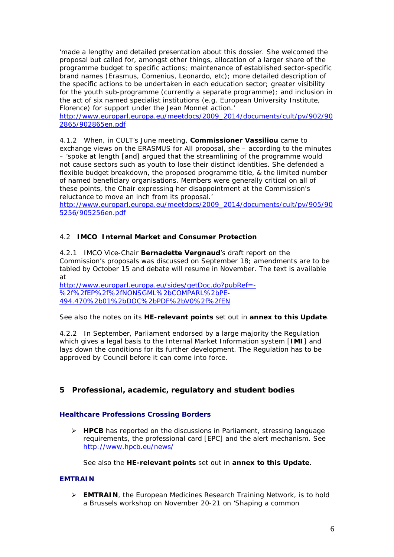'made a lengthy and detailed presentation about this dossier. She welcomed the proposal but called for, amongst other things, allocation of a larger share of the programme budget to specific actions; maintenance of established sector-specific brand names (Erasmus, Comenius, Leonardo, etc); more detailed description of the specific actions to be undertaken in each education sector; greater visibility for the youth sub-programme (currently a separate programme); and inclusion in the act of six named specialist institutions (e.g. European University Institute, Florence) for support under the Jean Monnet action.'

[http://www.europarl.europa.eu/meetdocs/2009\\_2014/documents/cult/pv/902/90](http://www.europarl.europa.eu/meetdocs/2009_2014/documents/cult/pv/902/902865/902865en.pdf) [2865/902865en.pdf](http://www.europarl.europa.eu/meetdocs/2009_2014/documents/cult/pv/902/902865/902865en.pdf)

4.1.2 When, in CULT's June meeting, **Commissioner Vassiliou** came to exchange views on the ERASMUS for All proposal, she – according to the minutes – 'spoke at length [and] argued that the streamlining of the programme would not cause sectors such as youth to lose their distinct identities. She defended a flexible budget breakdown, the proposed programme title, & the limited number of named beneficiary organisations. Members were generally critical on all of these points, the Chair expressing her disappointment at the Commission's reluctance to move an inch from its proposal.'

[http://www.europarl.europa.eu/meetdocs/2009\\_2014/documents/cult/pv/905/90](http://www.europarl.europa.eu/meetdocs/2009_2014/documents/cult/pv/905/905256/905256en.pdf) [5256/905256en.pdf](http://www.europarl.europa.eu/meetdocs/2009_2014/documents/cult/pv/905/905256/905256en.pdf)

#### 4.2 **IMCO Internal Market and Consumer Protection**

4.2.1 IMCO Vice-Chair **Bernadette Vergnaud**'s draft report on the Commission's proposals was discussed on September 18; amendments are to be tabled by October 15 and debate will resume in November. The text is available at

[http://www.europarl.europa.eu/sides/getDoc.do?pubRef=-](http://www.europarl.europa.eu/sides/getDoc.do?pubRef=-%2f%2fEP%2f%2fNONSGML%2bCOMPARL%2bPE-494.470%2b01%2bDOC%2bPDF%2bV0%2f%2fEN) [%2f%2fEP%2f%2fNONSGML%2bCOMPARL%2bPE-](http://www.europarl.europa.eu/sides/getDoc.do?pubRef=-%2f%2fEP%2f%2fNONSGML%2bCOMPARL%2bPE-494.470%2b01%2bDOC%2bPDF%2bV0%2f%2fEN)[494.470%2b01%2bDOC%2bPDF%2bV0%2f%2fEN](http://www.europarl.europa.eu/sides/getDoc.do?pubRef=-%2f%2fEP%2f%2fNONSGML%2bCOMPARL%2bPE-494.470%2b01%2bDOC%2bPDF%2bV0%2f%2fEN)

See also the notes on its **HE-relevant points** set out in **annex to this Update**.

4.2.2 In September, Parliament endorsed by a large majority the Regulation which gives a legal basis to the Internal Market Information system [**IMI**] and lays down the conditions for its further development. The Regulation has to be approved by Council before it can come into force.

## **5 Professional, academic, regulatory and student bodies**

#### **Healthcare Professions Crossing Borders**

 **HPCB** has reported on the discussions in Parliament, stressing language requirements, the professional card [EPC] and the alert mechanism. See <http://www.hpcb.eu/news/>

See also the **HE-relevant points** set out in **annex to this Update**.

#### **EMTRAIN**

 **EMTRAIN**, the European Medicines Research Training Network, is to hold a Brussels workshop on November 20-21 on 'Shaping a common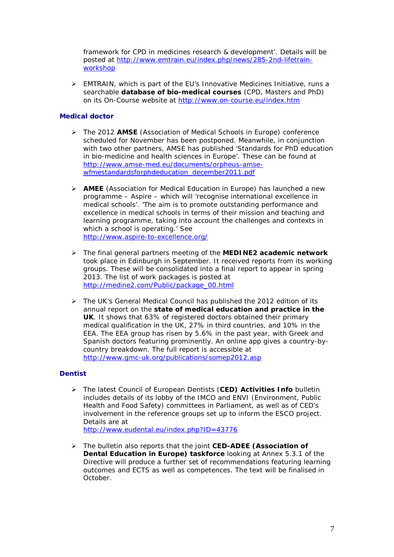framework for CPD in medicines research & development'. Details will be posted at [http://www.emtrain.eu/index.php/news/285-2nd-lifetrain](http://www.emtrain.eu/index.php/news/285-2nd-lifetrain-workshop)[workshop](http://www.emtrain.eu/index.php/news/285-2nd-lifetrain-workshop)

 $\triangleright$  EMTRAIN, which is part of the EU's Innovative Medicines Initiative, runs a searchable **database of bio-medical courses** (CPD, Masters and PhD) on its On-Course website at<http://www.on-course.eu/index.htm>

## **Medical doctor**

- The 2012 **AMSE** (Association of Medical Schools in Europe) conference scheduled for November has been postponed. Meanwhile, in conjunction with two other partners, AMSE has published 'Standards for PhD education in bio-medicine and health sciences in Europe'. These can be found at [http://www.amse-med.eu/documents/orpheus-amse](http://www.amse-med.eu/documents/orpheus-amse-wfmestandardsforphdeducation_december2011.pdf)[wfmestandardsforphdeducation\\_december2011.pdf](http://www.amse-med.eu/documents/orpheus-amse-wfmestandardsforphdeducation_december2011.pdf)
- **AMEE** (Association for Medical Education in Europe) has launched a new programme – Aspire – which will 'recognise international excellence in medical schools'. 'The aim is to promote outstanding performance and excellence in medical schools in terms of their mission and teaching and learning programme, taking into account the challenges and contexts in which a school is operating.' See <http://www.aspire-to-excellence.org/>
- The final general partners meeting of the **MEDINE2 academic network** took place in Edinburgh in September. It received reports from its working groups. These will be consolidated into a final report to appear in spring 2013. The list of work packages is posted at [http://medine2.com/Public/package\\_00.html](http://medine2.com/Public/package_00.html)
- The UK's General Medical Council has published the 2012 edition of its annual report on the **state of medical education and practice in the UK**. It shows that 63% of registered doctors obtained their primary medical qualification in the UK, 27% in third countries, and 10% in the EEA. The EEA group has risen by 5.6% in the past year, with Greek and Spanish doctors featuring prominently. An online app gives a country-bycountry breakdown. The full report is accessible at <http://www.gmc-uk.org/publications/somep2012.asp>

#### **Dentist**

 The latest Council of European Dentists (**CED) Activities Info** bulletin includes details of its lobby of the IMCO and ENVI (Environment, Public Health and Food Safety) committees in Parliament, as well as of CED's involvement in the reference groups set up to inform the ESCO project. Details are at

<http://www.eudental.eu/index.php?ID=43776>

 The bulletin also reports that the joint **CED-ADEE (Association of Dental Education in Europe) taskforce** looking at Annex 5.3.1 of the Directive will produce a further set of recommendations featuring learning outcomes and ECTS as well as competences. The text will be finalised in October.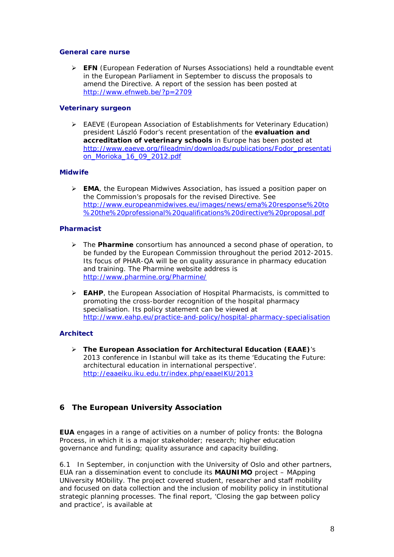#### **General care nurse**

 **EFN** (European Federation of Nurses Associations) held a roundtable event in the European Parliament in September to discuss the proposals to amend the Directive. A report of the session has been posted at <http://www.efnweb.be/?p=2709>

## **Veterinary surgeon**

 EAEVE (European Association of Establishments for Veterinary Education) president László Fodor's recent presentation of the **evaluation and accreditation of veterinary schools** in Europe has been posted at [http://www.eaeve.org/fileadmin/downloads/publications/Fodor\\_presentati](http://www.eaeve.org/fileadmin/downloads/publications/Fodor_presentation_Morioka_16_09_2012.pdf) [on\\_Morioka\\_16\\_09\\_2012.pdf](http://www.eaeve.org/fileadmin/downloads/publications/Fodor_presentation_Morioka_16_09_2012.pdf)

## **Midwife**

 **EMA**, the European Midwives Association, has issued a position paper on the Commission's proposals for the revised Directive. See [http://www.europeanmidwives.eu/images/news/ema%20response%20to](http://www.europeanmidwives.eu/images/news/ema%20response%20to%20the%20professional%20qualifications%20directive%20proposal.pdf) [%20the%20professional%20qualifications%20directive%20proposal.pdf](http://www.europeanmidwives.eu/images/news/ema%20response%20to%20the%20professional%20qualifications%20directive%20proposal.pdf)

## **Pharmacist**

- The **Pharmine** consortium has announced a second phase of operation, to be funded by the European Commission throughout the period 2012-2015. Its focus of PHAR-QA will be on quality assurance in pharmacy education and training. The Pharmine website address is <http://www.pharmine.org/Pharmine/>
- **EAHP**, the European Association of Hospital Pharmacists, is committed to promoting the cross-border recognition of the hospital pharmacy specialisation. Its policy statement can be viewed at <http://www.eahp.eu/practice-and-policy/hospital-pharmacy-specialisation>

## **Architect**

 **The European Association for Architectural Education (EAAE)**'s 2013 conference in Istanbul will take as its theme 'Educating the Future: architectural education in international perspective'. <http://eaaeiku.iku.edu.tr/index.php/eaaeIKU/2013>

## **6 The European University Association**

**EUA** engages in a range of activities on a number of policy fronts: the Bologna Process, in which it is a major stakeholder; research; higher education governance and funding; quality assurance and capacity building.

6.1 In September, in conjunction with the University of Oslo and other partners, EUA ran a dissemination event to conclude its **MAUNIMO** project – MApping UNiversity MObility. The project covered student, researcher and staff mobility and focused on data collection and the inclusion of mobility policy in institutional strategic planning processes. The final report, 'Closing the gap between policy and practice', is available at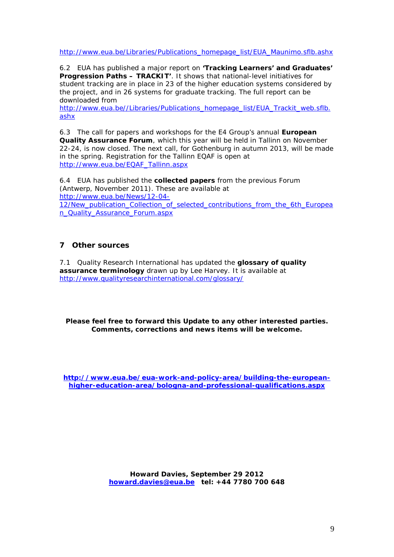[http://www.eua.be/Libraries/Publications\\_homepage\\_list/EUA\\_Maunimo.sflb.ashx](http://www.eua.be/Libraries/Publications_homepage_list/EUA_Maunimo.sflb.ashx)

6.2 EUA has published a major report on **'Tracking Learners' and Graduates' Progression Paths – TRACKIT'**. It shows that national-level initiatives for student tracking are in place in 23 of the higher education systems considered by the project, and in 26 systems for graduate tracking. The full report can be downloaded from

[http://www.eua.be//Libraries/Publications\\_homepage\\_list/EUA\\_Trackit\\_web.sflb.](http://www.eua.be/Libraries/Publications_homepage_list/EUA_Trackit_web.sflb.ashx) [ashx](http://www.eua.be/Libraries/Publications_homepage_list/EUA_Trackit_web.sflb.ashx)

6.3 The call for papers and workshops for the E4 Group's annual **European Quality Assurance Forum**, which this year will be held in Tallinn on November 22-24, is now closed. The next call, for Gothenburg in autumn 2013, will be made in the spring. Registration for the Tallinn EQAF is open at [http://www.eua.be/EQAF\\_Tallinn.aspx](http://www.eua.be/EQAF_Tallinn.aspx)

6.4 EUA has published the **collected papers** from the previous Forum (Antwerp, November 2011). These are available at [http://www.eua.be/News/12-04-](http://www.eua.be/News/12-04-12/New_publication_Collection_of_selected_contributions_from_the_6th_European_Quality_Assurance_Forum.aspx) 12/New publication Collection of selected contributions from the 6th Europea [n\\_Quality\\_Assurance\\_Forum.aspx](http://www.eua.be/News/12-04-12/New_publication_Collection_of_selected_contributions_from_the_6th_European_Quality_Assurance_Forum.aspx)

## **7 Other sources**

7.1 Quality Research International has updated the **glossary of quality assurance terminology** drawn up by Lee Harvey. It is available at <http://www.qualityresearchinternational.com/glossary/>

**Please feel free to forward this Update to any other interested parties. Comments, corrections and news items will be welcome.**

**[http://www.eua.be/eua-work-and-policy-area/building-the-european](http://www.eua.be/eua-work-and-policy-area/building-the-european-higher-education-area/bologna-and-professional-qualifications.aspx)[higher-education-area/bologna-and-professional-qualifications.aspx](http://www.eua.be/eua-work-and-policy-area/building-the-european-higher-education-area/bologna-and-professional-qualifications.aspx)**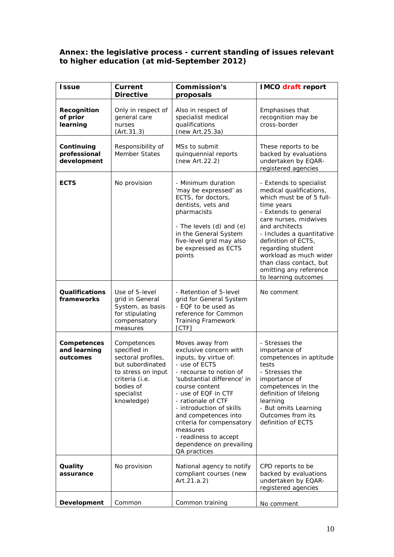## **Annex: the legislative process - current standing of issues relevant to higher education (at mid-September 2012)**

| <i>Issue</i>                              | Current<br><b>Directive</b>                                                                                                                            | <b>Commission's</b><br>proposals                                                                                                                                                                                                                                                                                                                                               | <b>IMCO</b> draft report                                                                                                                                                                                                                                                                                                                        |
|-------------------------------------------|--------------------------------------------------------------------------------------------------------------------------------------------------------|--------------------------------------------------------------------------------------------------------------------------------------------------------------------------------------------------------------------------------------------------------------------------------------------------------------------------------------------------------------------------------|-------------------------------------------------------------------------------------------------------------------------------------------------------------------------------------------------------------------------------------------------------------------------------------------------------------------------------------------------|
| Recognition<br>of prior<br>learning       | Only in respect of<br>general care<br>nurses<br>(Art.31.3)                                                                                             | Also in respect of<br>specialist medical<br>qualifications<br>(new Art.25.3a)                                                                                                                                                                                                                                                                                                  | Emphasises that<br>recognition may be<br>cross-border                                                                                                                                                                                                                                                                                           |
| Continuing<br>professional<br>development | Responsibility of<br>Member States                                                                                                                     | MSs to submit<br>quinquennial reports<br>(new Art.22.2)                                                                                                                                                                                                                                                                                                                        | These reports to be<br>backed by evaluations<br>undertaken by EQAR-<br>registered agencies                                                                                                                                                                                                                                                      |
| <b>ECTS</b>                               | No provision                                                                                                                                           | - Minimum duration<br>'may be expressed' as<br>ECTS, for doctors,<br>dentists, vets and<br>pharmacists<br>- The levels (d) and (e)<br>in the General System<br>five-level grid may also<br>be expressed as ECTS<br>points                                                                                                                                                      | - Extends to specialist<br>medical qualifications,<br>which must be of 5 full-<br>time years<br>- Extends to general<br>care nurses, midwives<br>and architects<br>- Includes a quantitative<br>definition of ECTS,<br>regarding student<br>workload as much wider<br>than class contact, but<br>omitting any reference<br>to learning outcomes |
| <b>Qualifications</b><br>frameworks       | Use of 5-level<br>grid in General<br>System, as basis<br>for stipulating<br>compensatory<br>measures                                                   | - Retention of 5-level<br>grid for General System<br>- EQF to be used as<br>reference for Common<br><b>Training Framework</b><br>[CTF]                                                                                                                                                                                                                                         | No comment                                                                                                                                                                                                                                                                                                                                      |
| Competences<br>and learning<br>outcomes   | Competences<br>specified in<br>sectoral profiles,<br>but subordinated<br>to stress on input<br>criteria (i.e.<br>bodies of<br>specialist<br>knowledge) | Moves away from<br>exclusive concern with<br>inputs, by virtue of:<br>- use of ECTS<br>- recourse to notion of<br>'substantial difference' in<br>course content<br>- use of EQF in CTF<br>- rationale of CTF<br>- introduction of skills<br>and competences into<br>criteria for compensatory<br>measures<br>- readiness to accept<br>dependence on prevailing<br>QA practices | - Stresses the<br>importance of<br>competences in aptitude<br>tests<br>- Stresses the<br>importance of<br>competences in the<br>definition of lifelong<br>learning<br>- But omits Learning<br>Outcomes from its<br>definition of ECTS                                                                                                           |
| Quality<br>assurance                      | No provision                                                                                                                                           | National agency to notify<br>compliant courses (new<br>Art.21.a.2)                                                                                                                                                                                                                                                                                                             | CPD reports to be<br>backed by evaluations<br>undertaken by EQAR-<br>registered agencies                                                                                                                                                                                                                                                        |
| Development                               | Common                                                                                                                                                 | Common training                                                                                                                                                                                                                                                                                                                                                                | No comment                                                                                                                                                                                                                                                                                                                                      |